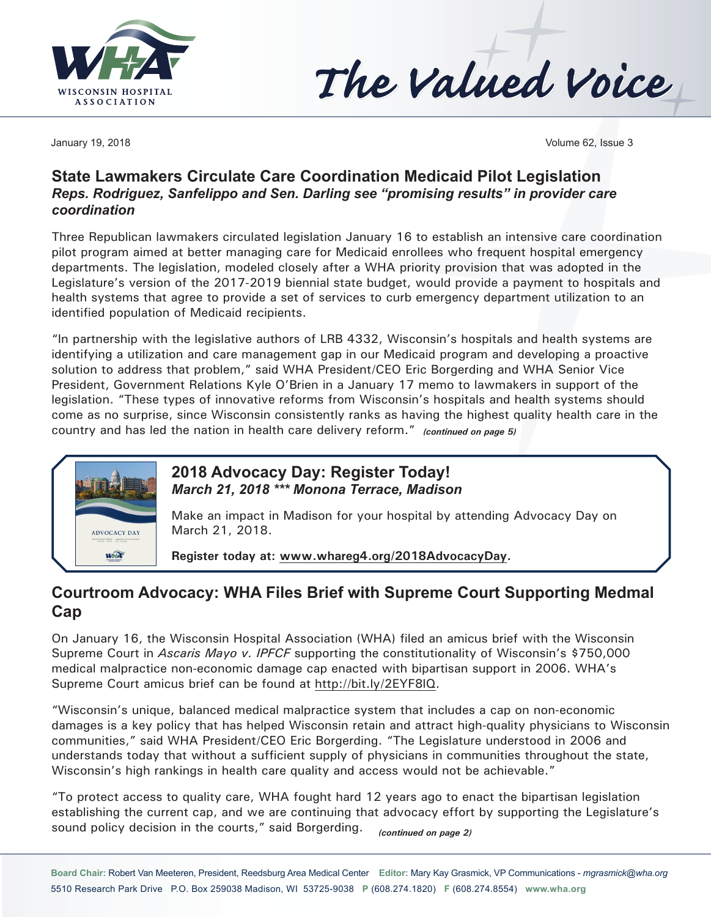



January 19, 2018 Volume 62, Issue 3

## **State Lawmakers Circulate Care Coordination Medicaid Pilot Legislation** *Reps. Rodriguez, Sanfelippo and Sen. Darling see "promising results" in provider care coordination*

Three Republican lawmakers circulated legislation January 16 to establish an intensive care coordination pilot program aimed at better managing care for Medicaid enrollees who frequent hospital emergency departments. The legislation, modeled closely after a WHA priority provision that was adopted in the Legislature's version of the 2017-2019 biennial state budget, would provide a payment to hospitals and health systems that agree to provide a set of services to curb emergency department utilization to an identified population of Medicaid recipients.

"In partnership with the legislative authors of LRB 4332, Wisconsin's hospitals and health systems are identifying a utilization and care management gap in our Medicaid program and developing a proactive solution to address that problem," said WHA President/CEO Eric Borgerding and WHA Senior Vice President, Government Relations Kyle O'Brien in a January 17 memo to lawmakers in support of the legislation. "These types of innovative reforms from Wisconsin's hospitals and health systems should come as no surprise, since Wisconsin consistently ranks as having the highest quality health care in the country and has led the nation in health care delivery reform." *(continued on page 5)*



## **2018 Advocacy Day: Register Today!** *March 21, 2018 \*\*\* Monona Terrace, Madison*

Make an impact in Madison for your hospital by attending Advocacy Day on March 21, 2018.

**Register today at: [www.whareg4.org](http://www.whareg4.org/2018AdvocacyDay)/2018AdvocacyDay.**

## **Courtroom Advocacy: WHA Files Brief with Supreme Court Supporting Medmal Cap**

On January 16, the Wisconsin Hospital Association (WHA) filed an amicus brief with the Wisconsin Supreme Court in *Ascaris Mayo v. IPFCF* supporting the constitutionality of Wisconsin's \$750,000 medical malpractice non-economic damage cap enacted with bipartisan support in 2006. WHA's Supreme Court amicus brief can be found at [http://bit.ly/2EYF8lQ.](http://bit.ly/2EYF8lQ)

"Wisconsin's unique, balanced medical malpractice system that includes a cap on non-economic damages is a key policy that has helped Wisconsin retain and attract high-quality physicians to Wisconsin communities," said WHA President/CEO Eric Borgerding. "The Legislature understood in 2006 and understands today that without a sufficient supply of physicians in communities throughout the state, Wisconsin's high rankings in health care quality and access would not be achievable."

"To protect access to quality care, WHA fought hard 12 years ago to enact the bipartisan legislation establishing the current cap, and we are continuing that advocacy effort by supporting the Legislature's sound policy decision in the courts," said Borgerding. *(continued on page 2)*

**Board Chair:** Robert Van Meeteren, President, Reedsburg Area Medical Center **Editor:** Mary Kay Grasmick, VP Communications - *[mgrasmick@wha.org](mailto:mgrasmick@wha.org)* 5510 Research Park Drive P.O. Box 259038 Madison, WI 53725-9038 **P** (608.274.1820) **F** (608.274.8554) **[www.wha.org](http://www.wha.org)**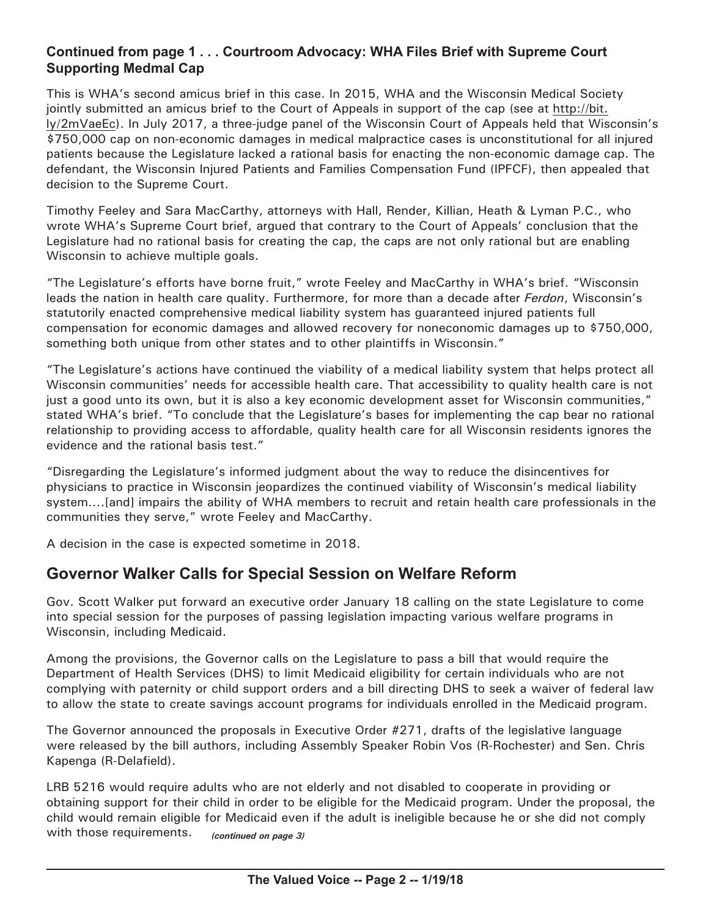### **Continued from page 1 . . . Courtroom Advocacy: WHA Files Brief with Supreme Court Supporting Medmal Cap**

This is WHA's second amicus brief in this case. In 2015, WHA and the Wisconsin Medical Society jointly submitted an amicus brief to the Court of Appeals in support of the cap (see at [http://bit.](http://bit.ly/2mVaeEc) [ly/2mVaeEc](http://bit.ly/2mVaeEc)). In July 2017, a three-judge panel of the Wisconsin Court of Appeals held that Wisconsin's \$750,000 cap on non-economic damages in medical malpractice cases is unconstitutional for all injured patients because the Legislature lacked a rational basis for enacting the non-economic damage cap. The defendant, the Wisconsin Injured Patients and Families Compensation Fund (IPFCF), then appealed that decision to the Supreme Court.

Timothy Feeley and Sara MacCarthy, attorneys with Hall, Render, Killian, Heath & Lyman P.C., who wrote WHA's Supreme Court brief, argued that contrary to the Court of Appeals' conclusion that the Legislature had no rational basis for creating the cap, the caps are not only rational but are enabling Wisconsin to achieve multiple goals.

"The Legislature's efforts have borne fruit," wrote Feeley and MacCarthy in WHA's brief. "Wisconsin leads the nation in health care quality. Furthermore, for more than a decade after *Ferdon*, Wisconsin's statutorily enacted comprehensive medical liability system has guaranteed injured patients full compensation for economic damages and allowed recovery for noneconomic damages up to \$750,000, something both unique from other states and to other plaintiffs in Wisconsin."

"The Legislature's actions have continued the viability of a medical liability system that helps protect all Wisconsin communities' needs for accessible health care. That accessibility to quality health care is not just a good unto its own, but it is also a key economic development asset for Wisconsin communities," stated WHA's brief. "To conclude that the Legislature's bases for implementing the cap bear no rational relationship to providing access to affordable, quality health care for all Wisconsin residents ignores the evidence and the rational basis test."

"Disregarding the Legislature's informed judgment about the way to reduce the disincentives for physicians to practice in Wisconsin jeopardizes the continued viability of Wisconsin's medical liability system….[and] impairs the ability of WHA members to recruit and retain health care professionals in the communities they serve," wrote Feeley and MacCarthy.

A decision in the case is expected sometime in 2018.

## **Governor Walker Calls for Special Session on Welfare Reform**

Gov. Scott Walker put forward an executive order January 18 calling on the state Legislature to come into special session for the purposes of passing legislation impacting various welfare programs in Wisconsin, including Medicaid.

Among the provisions, the Governor calls on the Legislature to pass a bill that would require the Department of Health Services (DHS) to limit Medicaid eligibility for certain individuals who are not complying with paternity or child support orders and a bill directing DHS to seek a waiver of federal law to allow the state to create savings account programs for individuals enrolled in the Medicaid program.

The Governor announced the proposals in Executive Order #271, drafts of the legislative language were released by the bill authors, including Assembly Speaker Robin Vos (R-Rochester) and Sen. Chris Kapenga (R-Delafield).

LRB 5216 would require adults who are not elderly and not disabled to cooperate in providing or obtaining support for their child in order to be eligible for the Medicaid program. Under the proposal, the child would remain eligible for Medicaid even if the adult is ineligible because he or she did not comply with those requirements. *(continued on page 3)*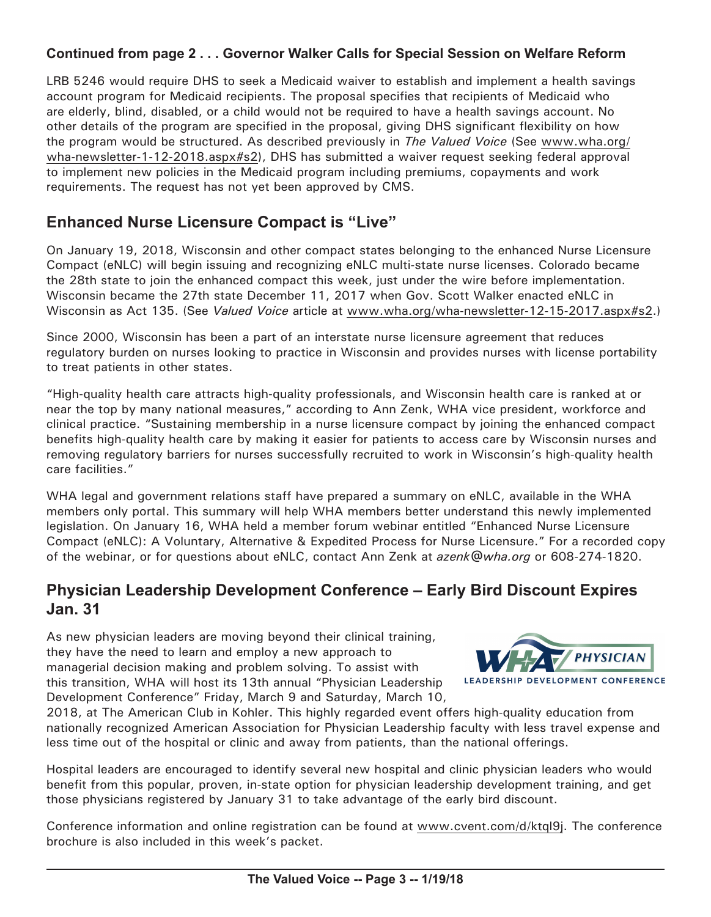## **Continued from page 2 . . . Governor Walker Calls for Special Session on Welfare Reform**

LRB 5246 would require DHS to seek a Medicaid waiver to establish and implement a health savings account program for Medicaid recipients. The proposal specifies that recipients of Medicaid who are elderly, blind, disabled, or a child would not be required to have a health savings account. No other details of the program are specified in the proposal, giving DHS significant flexibility on how the program would be structured. As described previously in *The Valued Voice* (See [www.wha.org/](http://www.wha.org/wha-newsletter-1-12-2018.aspx#s2) [wha-newsletter-1-12-2018.aspx](http://www.wha.org/wha-newsletter-1-12-2018.aspx#s2)#s2), DHS has submitted a waiver request seeking federal approval to implement new policies in the Medicaid program including premiums, copayments and work requirements. The request has not yet been approved by CMS.

# **Enhanced Nurse Licensure Compact is "Live"**

On January 19, 2018, Wisconsin and other compact states belonging to the enhanced Nurse Licensure Compact (eNLC) will begin issuing and recognizing eNLC multi-state nurse licenses. Colorado became the 28th state to join the enhanced compact this week, just under the wire before implementation. Wisconsin became the 27th state December 11, 2017 when Gov. Scott Walker enacted eNLC in Wisconsin as Act 135. (See *Valued Voice* article at [www.wha.org/wha-newsletter-12-15-2017.aspx#](http://www.wha.org/wha-newsletter-12-15-2017.aspx#s2)s2.)

Since 2000, Wisconsin has been a part of an interstate nurse licensure agreement that reduces regulatory burden on nurses looking to practice in Wisconsin and provides nurses with license portability to treat patients in other states.

"High-quality health care attracts high-quality professionals, and Wisconsin health care is ranked at or near the top by many national measures," according to Ann Zenk, WHA vice president, workforce and clinical practice. "Sustaining membership in a nurse licensure compact by joining the enhanced compact benefits high-quality health care by making it easier for patients to access care by Wisconsin nurses and removing regulatory barriers for nurses successfully recruited to work in Wisconsin's high-quality health care facilities."

WHA legal and government relations staff have prepared a summary on eNLC, available in the WHA members only portal. This summary will help WHA members better understand this newly implemented legislation. On January 16, WHA held a member forum webinar entitled "Enhanced Nurse Licensure Compact (eNLC): A Voluntary, Alternative & Expedited Process for Nurse Licensure." For a recorded copy of the webinar, or for questions about eNLC, contact Ann Zenk at *[azenk@wha.org](mailto:azenk@wha.org)* or 608-274-1820.

## **Physician Leadership Development Conference – Early Bird Discount Expires Jan. 31**

As new physician leaders are moving beyond their clinical training, they have the need to learn and employ a new approach to managerial decision making and problem solving. To assist with this transition, WHA will host its 13th annual "Physician Leadership Development Conference" Friday, March 9 and Saturday, March 10,



2018, at The American Club in Kohler. This highly regarded event offers high-quality education from nationally recognized American Association for Physician Leadership faculty with less travel expense and less time out of the hospital or clinic and away from patients, than the national offerings.

Hospital leaders are encouraged to identify several new hospital and clinic physician leaders who would benefit from this popular, proven, in-state option for physician leadership development training, and get those physicians registered by January 31 to take advantage of the early bird discount.

Conference information and online registration can be found at [www.cvent.com/d/ktql9](http://www.cvent.com/d/ktql9j)j. The conference brochure is also included in this week's packet.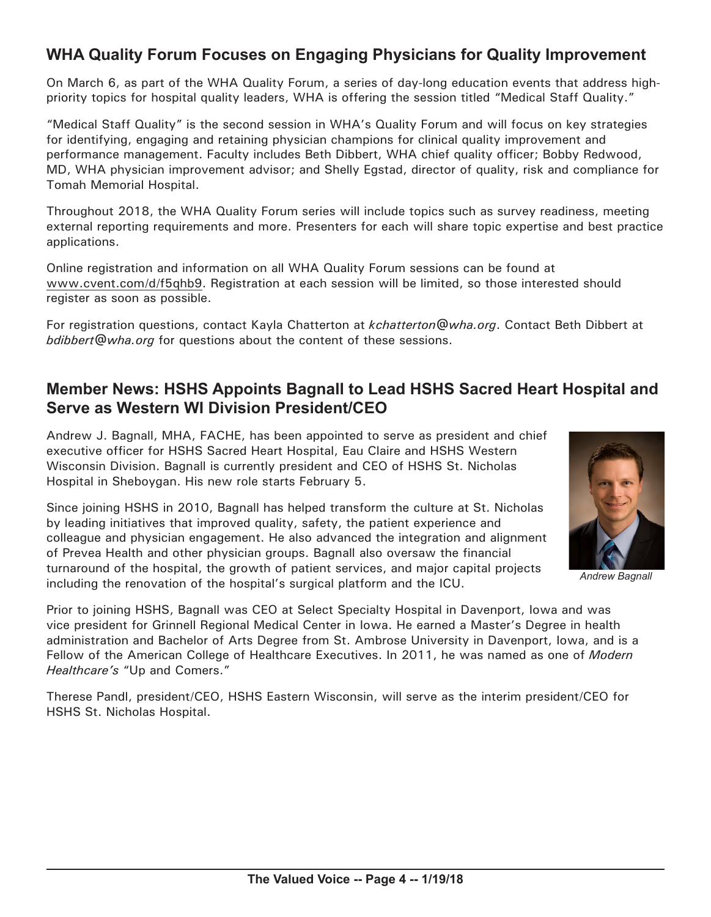# **WHA Quality Forum Focuses on Engaging Physicians for Quality Improvement**

On March 6, as part of the WHA Quality Forum, a series of day-long education events that address highpriority topics for hospital quality leaders, WHA is offering the session titled "Medical Staff Quality."

"Medical Staff Quality" is the second session in WHA's Quality Forum and will focus on key strategies for identifying, engaging and retaining physician champions for clinical quality improvement and performance management. Faculty includes Beth Dibbert, WHA chief quality officer; Bobby Redwood, MD, WHA physician improvement advisor; and Shelly Egstad, director of quality, risk and compliance for Tomah Memorial Hospital.

Throughout 2018, the WHA Quality Forum series will include topics such as survey readiness, meeting external reporting requirements and more. Presenters for each will share topic expertise and best practice applications.

Online registration and information on all WHA Quality Forum sessions can be found at [www.cvent.com](http://www.cvent.com/d/f5qhb9)/d/f5qhb9. Registration at each session will be limited, so those interested should register as soon as possible.

For registration questions, contact Kayla Chatterton at *[kchatterton@wha.org](mailto:kchatterton@wha.org)*. Contact Beth Dibbert at *[bdibbert@wha.org](mailto:bdibbert@wha.org)* for questions about the content of these sessions.

# **Member News: HSHS Appoints Bagnall to Lead HSHS Sacred Heart Hospital and Serve as Western WI Division President/CEO**

Andrew J. Bagnall, MHA, FACHE, has been appointed to serve as president and chief executive officer for HSHS Sacred Heart Hospital, Eau Claire and HSHS Western Wisconsin Division. Bagnall is currently president and CEO of HSHS St. Nicholas Hospital in Sheboygan. His new role starts February 5.

Since joining HSHS in 2010, Bagnall has helped transform the culture at St. Nicholas by leading initiatives that improved quality, safety, the patient experience and colleague and physician engagement. He also advanced the integration and alignment of Prevea Health and other physician groups. Bagnall also oversaw the financial turnaround of the hospital, the growth of patient services, and major capital projects including the renovation of the hospital's surgical platform and the ICU.



*Andrew Bagnall*

Prior to joining HSHS, Bagnall was CEO at Select Specialty Hospital in Davenport, Iowa and was vice president for Grinnell Regional Medical Center in Iowa. He earned a Master's Degree in health administration and Bachelor of Arts Degree from St. Ambrose University in Davenport, Iowa, and is a Fellow of the American College of Healthcare Executives. In 2011, he was named as one of *Modern Healthcare's* "Up and Comers."

Therese Pandl, president/CEO, HSHS Eastern Wisconsin, will serve as the interim president/CEO for HSHS St. Nicholas Hospital.